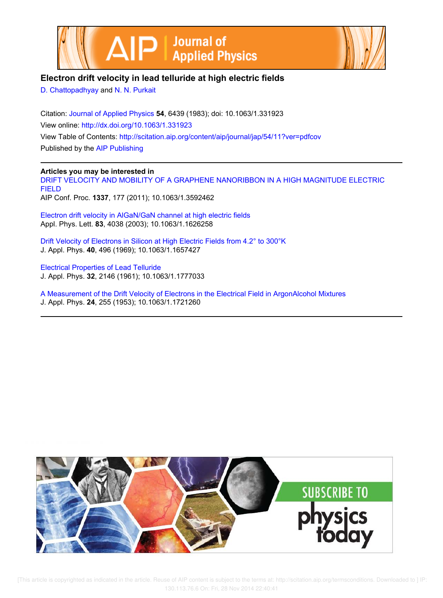



# **Electron drift velocity in lead telluride at high electric fields**

D. Chattopadhyay and N. N. Purkait

Citation: Journal of Applied Physics **54**, 6439 (1983); doi: 10.1063/1.331923 View online: http://dx.doi.org/10.1063/1.331923 View Table of Contents: http://scitation.aip.org/content/aip/journal/jap/54/11?ver=pdfcov Published by the AIP Publishing

## **Articles you may be interested in**

DRIFT VELOCITY AND MOBILITY OF A GRAPHENE NANORIBBON IN A HIGH MAGNITUDE ELECTRIC FIELD AIP Conf. Proc. **1337**, 177 (2011); 10.1063/1.3592462

Electron drift velocity in AlGaN/GaN channel at high electric fields Appl. Phys. Lett. **83**, 4038 (2003); 10.1063/1.1626258

Drift Velocity of Electrons in Silicon at High Electric Fields from 4.2° to 300°K J. Appl. Phys. **40**, 496 (1969); 10.1063/1.1657427

Electrical Properties of Lead Telluride J. Appl. Phys. **32**, 2146 (1961); 10.1063/1.1777033

A Measurement of the Drift Velocity of Electrons in the Electrical Field in ArgonAlcohol Mixtures J. Appl. Phys. **24**, 255 (1953); 10.1063/1.1721260



[This article is copyrighted as indicated in the article. Reuse of AIP content is subject to the terms at: http://scitation.aip.org/termsconditions. Downloaded to ] IP: 130.113.76.6 On: Fri, 28 Nov 2014 22:40:41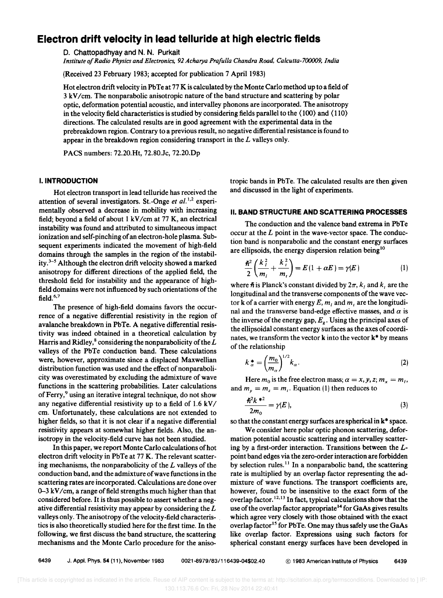# **Electron drift velocity in lead telluride at high electric fields**

D. Chattopadhyay and N. N. Purkait

*Institute of Radio Physics and Electronics,* 92 *Acharya PrafuUa Chandra Road, Calcutta-7()()()()9, India* 

(Received 23 February 1983; accepted for publication 7 April 1983)

Hot electron drift velocity in PbTe at 77 K is calculated by the Monte Carlo method up to a field of 3 kV/cm. The nonparabolic anisotropic nature of the band structure and scattering by polar optic, defonnation potential acoustic, and intervalley phonons are incorporated. The anisotropy in the velocity field characteristics is studied by considering fields parallel to the  $(100)$  and  $(110)$ directions. The calculated results are in good agreement with the experimental data in the prebreakdown region. Contrary to a previous result, no negative differential resistance is found to appear in the breakdown region considering transport in the *L* valleys only.

PACS numbers: 72.20.Ht, 72.80.Jc, 72.20.Dp

### I. **INTRODUCTION**

Hot electron transport in lead telluride has received the attention of several investigators. St.-Onge *et al.*<sup>1,2</sup> experimentally observed a decrease in mobility with increasing field; beyond a field of about  $1 \text{ kV/cm}$  at 77 K, an electrical instability was found and attributed to simultaneous impact ionization and self-pinching of an electron-hole plasma. Subsequent experiments indicated the movement of high-field domains through the samples in the region of the instability.3-5 Although the electron drift velocity showed a marked anisotropy for different directions of the applied field, the threshold field for instability and the appearance of highfield domains were not influenced by such orientations of the field. $6,7$ 

The presence of high-field domains favors the occurrence of a negative differential resistivity in the region of avalanche breakdown in PbTe. A negative differential resistivity was indeed obtained in a theoretical calculation by Harris and Ridley, $^8$  considering the nonparabolicity of the  $L$ valleys of the PbTe conduction band. These calculations were, however, approximate since a displaced Maxwellian distribution function was used and the effect of nonparabolicity was overestimated by excluding the admixture of wave functions in the scattering probabilities. Later calculations of Ferry,<sup>9</sup> using an iterative integral technique, do not show any negative differential resistivity up to a field of 1.6 kV/ cm. Unfortunately, these calculations are not extended to higher fields, so that it is not clear if a negative differential resistivity appears at somewhat higher fields. Also, the anisotropy in the velocity-field curve has not been studied.

In this paper, we report Monte Carlo calculations of hot electron drift velocity in PbTe at 77 K. The relevant scattering mechanisms, the nonparabolicity of the *L* valleys of the conduction band, and the admixture of wave functions in the scattering rates are incorporated. Calculations are done over  $0-3$  kV/cm, a range of field strengths much higher than that considered before. It is thus possible to assert whether a negative differential resistivity may appear by considering the *L*  valleys only. The anisotropy of the velocity-field characteris- . tics is also theoretically studied here for the first time. In the following, we first discuss the band structure, the scattering mechanisms and the Monte Carlo procedure for the anisotropic bands in PbTe. The calculated results are then given and discussed in the light of experiments.

### II. **BAND STRUCTURE AND SCATTERING PROCESSES**

The conduction and the valence band extrema in PbTe occur at the *L* point in the wave-vector space. The conduction band is nonparabolic and the constant energy surfaces are ellipsoids, the energy dispersion relation being<sup>10</sup>

$$
\frac{\hbar^2}{2} \left( \frac{k_i^2}{m_i} + \frac{k_i^2}{m_i} \right) = E(1 + \alpha E) = \gamma(E)
$$
 (1)

where  $\hbar$  is Planck's constant divided by  $2\pi$ ,  $k_1$  and  $k_2$  are the longitudinal and the transverse components of the wave vector **k** of a carrier with energy E,  $m_l$  and  $m_t$  are the longitudinal and the transverse band-edge effective masses, and  $\alpha$  is the inverse of the energy gap, *E<sup>g</sup> •* Using the principal axes of the ellipsoidal constant energy surfaces as the axes of coordinates, we transform the vector  $k$  into the vector  $k^*$  by means of the relationship

$$
k_{\alpha}^* = \left(\frac{m_0}{m_\alpha}\right)^{1/2} k_\alpha.
$$
 (2)

Here  $m_0$  is the free electron mass;  $\alpha = x, y, z; m_x = m_l$ , and  $m_v = m_z = m_t$ . Equation (1) then reduces to

$$
\frac{\hbar^2 k^*}{2m_0} = \gamma(E),\tag{3}
$$

so that the constant energy surfaces are spherical in k\* space.

We consider here polar optic phonon scattering, deformation potential acoustic scattering and intervalley scattering by a first-order interaction. Transitions between the *L*point band edges via the zero-order interaction are forbidden by selection rules.<sup>11</sup> In a nonparabolic band, the scattering rate is multiplied by an overlap factor representing the admixture of wave functions. The transport coefficients are, however, found to be insensitive to the exact form of the overlap factor. 12.13 In fact, typical calculations show that the use of the overlap factor appropriate<sup>14</sup> for GaAs gives results which agree very closely with those obtained with the exact overlap factor<sup>15</sup> for PbTe. One may thus safely use the GaAs like overlap factor. Expressions using such factors for spherical constant energy surfaces have been developed in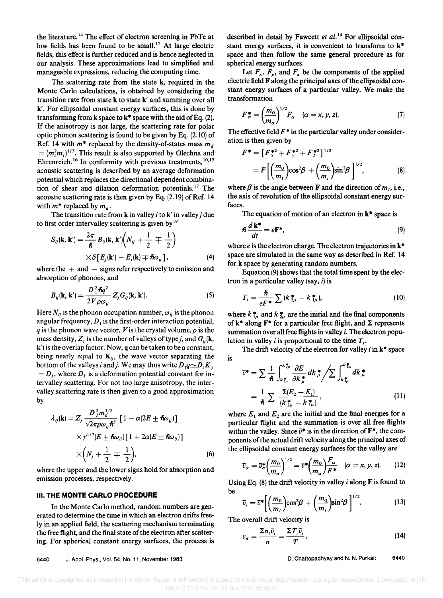the literature. 14 The effect of electron screening in PbTe at low fields has been found to be small.<sup>15</sup> At large electric fields, this effect is further reduced and is hence neglected in our analysis. These approximations lead to simplified and manageable expressions, reducing the computing time.

The scattering rate from the state k, required in the Monte Carlo calculations, is obtained by considering the transition rate from state k to state k' and summing over all k'. For ellipsoidal constant energy surfaces, this is done by transforming from k space to  $k^*$  space with the aid of Eq. (2). If the anisotropy is not large, the scattering rate for polar optic phonon scattering is found to be given by Eq. (2.10) of Ref. 14 with  $m^*$  replaced by the density-of-states mass  $m_d$  $= (m_i^2 m_i)^{1/3}$ . This result is also supported by Olechna and Ehrenreich.<sup>16</sup> In conformity with previous treatments,<sup>10,15</sup> acoustic scattering is described by an average deformation potential which replaces the directional dependent combination of shear and dilation deformation potentials.<sup>17</sup> The acoustic scattering rate is then given by Eq. (2.19) of Ref. 14 with  $m^*$  replaced by  $m_d$ .

The transition rate from k in valley *i* to k' in valley *j* due to first order intervalley scattering is given by  $18$ 

$$
S_{ij}(\mathbf{k},\mathbf{k}') = \frac{2\pi}{\hbar} B_{ij}(\mathbf{k},\mathbf{k}') \Big( N_{ij} + \frac{1}{2} \mp \frac{1}{2} \Big) \times \delta [E_j(\mathbf{k}') - E_i(\mathbf{k}) \mp \hbar \omega_{ij}], \tag{4}
$$

where the  $+$  and  $-$  signs refer respectively to emission and absorption of phonons, and

$$
B_{ij}(\mathbf{k},\mathbf{k}') = \frac{D_1^2 \hbar q^2}{2V \rho \omega_{ij}} Z_j G_{ij}(\mathbf{k},\mathbf{k}').
$$
 (5)

Here  $N_{ii}$  is the phonon occupation number,  $\omega_{ii}$  is the phonon angular frequency,  $D_1$  is the first-order interaction potential, *q* is the phonon wave vector, *V* is the crystal volume,  $\rho$  is the mass density,  $Z_i$  is the number of valleys of type *j*, and  $G_i(\mathbf{k}, \mathbf{r})$ k') is the overlap factor. Now, q can be taken to be a constant, being nearly equal to  $K_{ij}$ , the wave vector separating the bottom of the valleys *i* and *j*. We may thus write  $D_1 q \simeq D_1 K_{ii}$  $= D<sub>I</sub>$ , where  $D<sub>I</sub>$  is a deformation potential constant for intervalley scattering. For not too large anisotropy, the intervalley scattering rate is then given to a good approximation by

$$
\lambda_{ij}(\mathbf{k}) = Z_j \frac{D_j^2 m_d^{3/2}}{\sqrt{2} \pi \rho \omega_{ij} \hbar^3} \left[ 1 - \alpha (2E \pm \hbar \omega_{ij}) \right] \times \gamma^{1/2} (E \pm \hbar \omega_{ij}) \left[ 1 + 2\alpha (E \pm \hbar \omega_{ij}) \right] \times \left( N_j + \frac{1}{2} \mp \frac{1}{2} \right), \tag{6}
$$

where the upper and the lower signs hold for absorption and emission processes, respectively.

#### III. **THE MONTE CARLO PROCEDURE**

In the Monte Carlo method, random numbers are generated to determine the time in which an electron drifts freely in an applied field, the scattering mechanism terminating the free flight, and the final state of the electron after scattering. For spherical constant energy surfaces, the process is

described in detail by Fawcett *et af.* 14 For ellipsoidal constant energy surfaces, it is convenient to transform to k\* space and then follow the same general procedure as for spherical energy surfaces.

Let  $F_x$ ,  $F_y$ , and  $F_z$  be the components of the applied electric field F along the principal axes of the ellipsoidal constant energy surfaces of a particular valley. We make the transformation

$$
F_{\alpha}^{*} = \left(\frac{m_0}{m_{\alpha}}\right)^{1/2} F_{\alpha} \quad (\alpha = x, y, z). \tag{7}
$$

The effective field  $F^*$  in the particular valley under consideration is then given by

$$
F^* = [F_x^{*2} + F_y^{*2} + F_z^{*2}]^{1/2}
$$
  
=  $F\left[\left(\frac{m_0}{m_l}\right)\cos^2\beta + \left(\frac{m_0}{m_l}\right)\sin^2\beta\right]^{1/2}$ , (8)

where  $\beta$  is the angle between F and the direction of  $m<sub>l</sub>$ , i.e., the axis of revolution of the ellipsoidal constant energy surfaces.

The equation of motion of an electron in  $k^*$  space is

$$
\hbar \frac{d\mathbf{k}^*}{dt} = e\mathbf{F}^*,\tag{9}
$$

where *e* is the electron charge. The electron trajectories in  $k^*$ space are simulated in the same way as described in Ref. 14 for k space by generating random numbers.

. Equation (9) shows that the total time spent by the electron in a particular valley (say, *i)* is

$$
T_i = \frac{\hbar}{eF^*} \sum (k_{2\mu}^* - k_{1\mu}^*), \qquad (10)
$$

where  $k_{1\mu}^*$  and  $k_{2\mu}^*$  are the initial and the final components of  $k^*$  along  $F^*$  for a particular free flight, and  $\Sigma$  represents summation over all free flights in valley *i.* The electron population in valley *i* is proportional to the time *T<sup>i</sup> •* 

The drift velocity of the electron for valley *i* in k\* space is

$$
\overline{v}^* = \sum \frac{1}{\hbar} \int_{k \frac{1}{t_{\mu}}}^{k \frac{1}{2\mu}} \frac{\partial E}{\partial k \frac{1}{\mu}} dk_{\mu}^* / \sum \int_{k \frac{1}{t_{\mu}}}^{k \frac{1}{2\mu}} dk_{\mu}^* \n= \frac{1}{\hbar} \sum \frac{\sum (E_2 - E_1)}{(k \frac{1}{2\mu} - k \frac{1}{t_{\mu}})},
$$
\n(11)

where  $E_1$  and  $E_2$  are the initial and the final energies for a particular flight and the summation is over all free flights within the valley. Since  $\bar{v}^*$  is in the direction of  $\mathbf{F}^*$ , the components of the actual drift velocity along the principal axes of the ellipsoidal constant energy surfaces for the valley are

$$
\overline{v}_{\alpha} = \overline{v}_{\alpha}^* \left(\frac{m_0}{m_{\alpha}}\right)^{1/2} = \overline{v}^* \left(\frac{m_0}{m_{\alpha}}\right) \frac{F_{\alpha}}{F^*} \quad (\alpha = x, y, z). \tag{12}
$$

Using Eq. (8) the drift velocity in valley *i* along F is found to be

$$
\bar{v}_i = \bar{v}^* \bigg[ \bigg( \frac{m_0}{m_i} \bigg) \cos^2 \! \beta + \bigg( \frac{m_0}{m_i} \bigg) \sin^2 \! \beta \bigg]^{1/2} . \tag{13}
$$

The overall drift velocity is

$$
v_d = \frac{\sum n_i \bar{v}_i}{n} = \frac{\sum T_i \bar{v}_i}{T},
$$
\n(14)

D. Chattopadhyay and N. N. Purkait 6440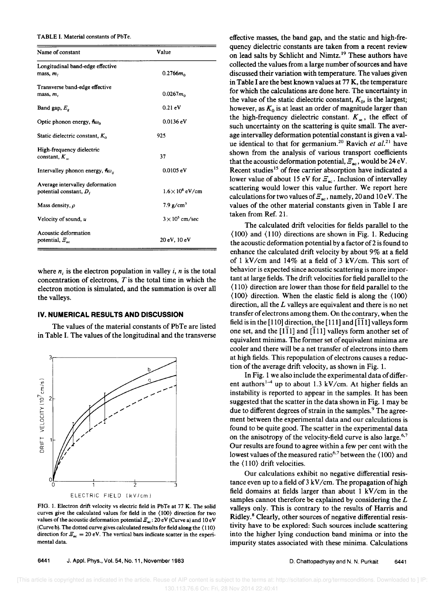#### TABLE I. Material constants of PbTe.

| Name of constant                                            | Value                          |
|-------------------------------------------------------------|--------------------------------|
| Longitudinal band-edge effective<br>mass, $mi$              | $0.2766$ <i>m</i> <sub>o</sub> |
| Transverse band-edge effective<br>mass, m,                  | $0.0267m_0$                    |
| Band gap, $E_a$                                             | $0.21 \text{ eV}$              |
| Optic phonon energy, $\hbar\omega_0$                        | $0.0136 \text{ eV}$            |
| Static dielectric constant, $K_0$                           | 925                            |
| High-frequency dielectric<br>constant, $K_{\infty}$         | 37                             |
| Intervalley phonon energy, $\hbar\omega_{ii}$               | 0.0105 eV                      |
| Average intervalley deformation<br>potential constant, $DI$ | $1.6\times10^8$ eV/cm          |
| Mass density, $\rho$                                        | $7.9$ g/cm <sup>3</sup>        |
| Velocity of sound, u                                        | $3 \times 10^5$ cm/sec         |
| Acoustic deformation<br>potential, $\mathcal{Z}_{ac}$       | 20 eV, 10 eV                   |

where  $n_i$  is the electron population in valley i, n is the total concentration of electrons,  $T$  is the total time in which the electron motion is simulated, and the summation is over all the valleys.

#### IV. NUMERICAL RESULTS AND DISCUSSION

The values of the material constants of PbTe are listed in Table I. The values of the longitudinal and the transverse



FIG. 1. Electron drift velocity vs electric field in PbTe at 77 K. The solid curves give the calculated values for field in the (100) direction for two values of the acoustic deformation potential  $\mathcal{Z}_{ac}$ : 20 eV (Curve a) and 10 eV (Curve b). The dotted curve gives calculated results for field along the (110) direction for  $\mathcal{Z}_{ac} = 20$  eV. The vertical bars indicate scatter in the experimental data.

effective masses, the band gap, and the static and high-frequency dielectric constants are taken from a recent review on lead salts by Schlicht and Nimtz.<sup>19</sup> These authors have collected the values from a large number of sources and have discussed their variation with temperature. The values given in Table I are the best known values at 77 K, the temperature for which the calculations are done here. The uncertainty in the value of the static dielectric constant,  $K_0$ , is the largest; however, as  $K_0$  is at least an order of magnitude larger than the high-frequency dielectric constant.  $K_{\infty}$ , the effect of such uncertainty on the scattering is quite small. The average intervalley deformation potential constant is given a value identical to that for germanium.<sup>20</sup> Ravich et al.<sup>21</sup> have shown from the analysis of various transport coefficients that the acoustic deformation potential,  $\mathcal{F}_{ac}$ , would be 24 eV. Recent studies<sup>15</sup> of free carrier absorption have indicated a lower value of about 15 eV for  $\mathcal{Z}_{ac}$ . Inclusion of intervalley scattering would lower this value further. We report here calculations for two values of  $\mathcal{F}_{ac}$ , namely, 20 and 10 eV. The values of the other material constants given in Table I are taken from Ref. 21.

The calculated drift velocities for fields parallel to the  $(100)$  and  $(110)$  directions are shown in Fig. 1. Reducing the acoustic deformation potential by a factor of 2 is found to enhance the calculated drift velocity by about 9% at a field of 1 kV/cm and 14% at a field of 3 kV/cm. This sort of behavior is expected since acoustic scattering is more important at large fields. The drift velocities for field parallel to the  $(110)$  direction are lower than those for field parallel to the  $\langle 100 \rangle$  direction. When the elastic field is along the  $\langle 100 \rangle$ direction, all the  $L$  valleys are equivalent and there is no net transfer of electrons among them. On the contrary, when the field is in the [110] direction, the [111] and  $\overline{111}$ ] valleys form one set, and the  $[1\overline{1}1]$  and  $[1\overline{1}1]$  valleys form another set of equivalent minima. The former set of equivalent minima are cooler and there will be a net transfer of electrons into them at high fields. This repopulation of electrons causes a reduction of the average drift velocity, as shown in Fig. 1.

In Fig. 1 we also include the experimental data of different authors<sup>1-4</sup> up to about 1.3 kV/cm. At higher fields an instability is reported to appear in the samples. It has been suggested that the scatter in the data shown in Fig. 1 may be due to different degrees of strain in the samples.<sup>9</sup> The agreement between the experimental data and our calculations is found to be quite good. The scatter in the experimental data on the anisotropy of the velocity-field curve is also large.<sup>6,7</sup> Our results are found to agree within a few per cent with the lowest values of the measured ratio<sup>6,7</sup> between the (100) and the  $\langle 110 \rangle$  drift velocities.

Our calculations exhibit no negative differential resistance even up to a field of  $3 \, \text{kV/cm}$ . The propagation of high field domains at fields larger than about 1 kV/cm in the samples cannot therefore be explained by considering the  $L$ valleys only. This is contrary to the results of Harris and Ridley.<sup>8</sup> Clearly, other sources of negative differential resistivity have to be explored: Such sources include scattering into the higher lying conduction band minima or into the impurity states associated with these minima. Calculations